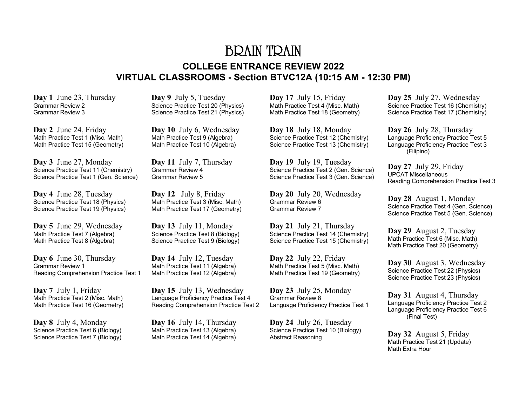### BRAIN TRAIN **COLLEGE ENTRANCE REVIEW 2022 VIRTUAL CLASSROOMS - Section BTVC12A (10:15 AM - 12:30 PM)**

**Day 1** June 23, Thursday Grammar Review 2 Grammar Review 3

**Day 2** June 24, Friday Math Practice Test 1 (Misc. Math) Math Practice Test 15 (Geometry)

**Day 3** June 27, Monday Science Practice Test 11 (Chemistry) Science Practice Test 1 (Gen. Science)

**Day 4** June 28, Tuesday Science Practice Test 18 (Physics) Science Practice Test 19 (Physics)

**Day 5** June 29, Wednesday Math Practice Test 7 (Algebra) Math Practice Test 8 (Algebra)

**Day 6** June 30, Thursday Grammar Review 1 Reading Comprehension Practice Test 1

**Day 7** July 1, Friday Math Practice Test 2 (Misc. Math) Math Practice Test 16 (Geometry)

**Day 8** July 4, Monday Science Practice Test 6 (Biology) Science Practice Test 7 (Biology) **Day 9** July 5, Tuesday Science Practice Test 20 (Physics) Science Practice Test 21 (Physics)

**Day 10** July 6, Wednesday Math Practice Test 9 (Algebra) Math Practice Test 10 (Algebra)

**Day 11** July 7, Thursday Grammar Review 4 Grammar Review 5

**Day 12** July 8, Friday Math Practice Test 3 (Misc. Math) Math Practice Test 17 (Geometry)

**Day 13** July 11, Monday Science Practice Test 8 (Biology) Science Practice Test 9 (Biology)

**Day 14** July 12, Tuesday Math Practice Test 11 (Algebra) Math Practice Test 12 (Algebra)

**Day 15** July 13, Wednesday Language Proficiency Practice Test 4 Reading Comprehension Practice Test 2

**Day 16** July 14, Thursday Math Practice Test 13 (Algebra) Math Practice Test 14 (Algebra) **Day 17** July 15, Friday Math Practice Test 4 (Misc. Math) Math Practice Test 18 (Geometry)

**Day 18** July 18, Monday Science Practice Test 12 (Chemistry) Science Practice Test 13 (Chemistry)

**Day 19** July 19, Tuesday Science Practice Test 2 (Gen. Science) Science Practice Test 3 (Gen. Science)

**Day 20** July 20, Wednesday Grammar Review 6 Grammar Review 7

**Day 21** July 21, Thursday Science Practice Test 14 (Chemistry) Science Practice Test 15 (Chemistry)

**Day 22** July 22, Friday Math Practice Test 5 (Misc. Math) Math Practice Test 19 (Geometry)

**Day 23** July 25, Monday Grammar Review 8 Language Proficiency Practice Test 1

**Day 24** July 26, Tuesday Science Practice Test 10 (Biology) Abstract Reasoning

**Day 25** July 27, Wednesday Science Practice Test 16 (Chemistry) Science Practice Test 17 (Chemistry)

**Day 26** July 28, Thursday Language Proficiency Practice Test 5 Language Proficiency Practice Test 3 (Filipino)

**Day 27** July 29, Friday UPCAT Miscellaneous Reading Comprehension Practice Test 3

**Day 28** August 1, Monday Science Practice Test 4 (Gen. Science) Science Practice Test 5 (Gen. Science)

**Day 29** August 2, Tuesday Math Practice Test 6 (Misc. Math) Math Practice Test 20 (Geometry)

**Day 30** August 3, Wednesday Science Practice Test 22 (Physics) Science Practice Test 23 (Physics)

**Day 31** August 4, Thursday Language Proficiency Practice Test 2 Language Proficiency Practice Test 6 (Final Test)

**Day 32** August 5, Friday Math Practice Test 21 (Update) Math Extra Hour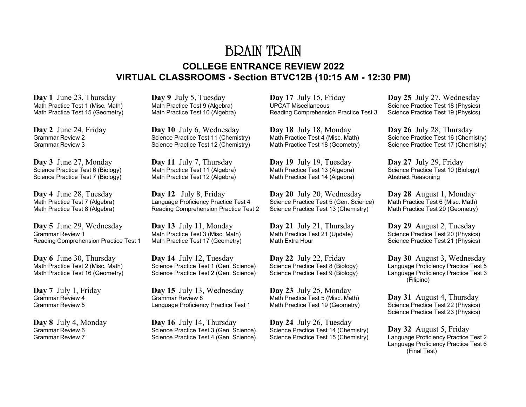# BRAIN TRAIN **COLLEGE ENTRANCE REVIEW 2022 VIRTUAL CLASSROOMS - Section BTVC12B (10:15 AM - 12:30 PM)**

**Day 1** June 23, Thursday Math Practice Test 1 (Misc. Math) Math Practice Test 15 (Geometry)

**Day 2** June 24, Friday Grammar Review 2 Grammar Review 3

**Day 3** June 27, Monday Science Practice Test 6 (Biology) Science Practice Test 7 (Biology)

**Day 4** June 28, Tuesday Math Practice Test 7 (Algebra) Math Practice Test 8 (Algebra)

**Day 5** June 29, Wednesday Grammar Review 1 Reading Comprehension Practice Test 1

**Day 6** June 30, Thursday Math Practice Test 2 (Misc. Math) Math Practice Test 16 (Geometry)

**Day 7** July 1, Friday Grammar Review 4 Grammar Review 5

**Day 8** July 4, Monday Grammar Review 6 Grammar Review 7

**Day 9** July 5, Tuesday Math Practice Test 9 (Algebra) Math Practice Test 10 (Algebra)

**Day 10** July 6, Wednesday Science Practice Test 11 (Chemistry) Science Practice Test 12 (Chemistry)

**Day 11** July 7, Thursday Math Practice Test 11 (Algebra) Math Practice Test 12 (Algebra)

**Day 12** July 8, Friday Language Proficiency Practice Test 4 Reading Comprehension Practice Test 2

**Day 13** July 11, Monday Math Practice Test 3 (Misc. Math) Math Practice Test 17 (Geometry)

**Day 14** July 12, Tuesday Science Practice Test 1 (Gen. Science) Science Practice Test 2 (Gen. Science)

**Day 15** July 13, Wednesday Grammar Review 8 Language Proficiency Practice Test 1

**Day 16** July 14, Thursday Science Practice Test 3 (Gen. Science) Science Practice Test 4 (Gen. Science) **Day 17** July 15, Friday UPCAT Miscellaneous Reading Comprehension Practice Test 3

**Day 18** July 18, Monday Math Practice Test 4 (Misc. Math) Math Practice Test 18 (Geometry)

**Day 19** July 19, Tuesday Math Practice Test 13 (Algebra) Math Practice Test 14 (Algebra)

**Day 20** July 20, Wednesday Science Practice Test 5 (Gen. Science) Science Practice Test 13 (Chemistry)

**Day 21** July 21, Thursday Math Practice Test 21 (Update) Math Extra Hour

**Day 22** July 22, Friday Science Practice Test 8 (Biology) Science Practice Test 9 (Biology)

**Day 23** July 25, Monday Math Practice Test 5 (Misc. Math) Math Practice Test 19 (Geometry)

**Day 24** July 26, Tuesday Science Practice Test 14 (Chemistry) Science Practice Test 15 (Chemistry) **Day 25** July 27, Wednesday Science Practice Test 18 (Physics) Science Practice Test 19 (Physics)

**Day 26** July 28, Thursday Science Practice Test 16 (Chemistry) Science Practice Test 17 (Chemistry)

**Day 27** July 29, Friday Science Practice Test 10 (Biology) Abstract Reasoning

**Day 28** August 1, Monday Math Practice Test 6 (Misc. Math) Math Practice Test 20 (Geometry)

**Day 29** August 2, Tuesday Science Practice Test 20 (Physics) Science Practice Test 21 (Physics)

**Day 30** August 3, Wednesday Language Proficiency Practice Test 5 Language Proficiency Practice Test 3 (Filipino)

**Day 31** August 4, Thursday Science Practice Test 22 (Physics) Science Practice Test 23 (Physics)

**Day 32** August 5, Friday Language Proficiency Practice Test 2 Language Proficiency Practice Test 6 (Final Test)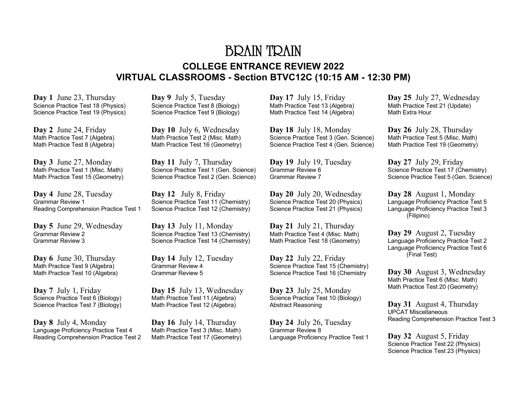# BRAIN TRAIN **COLLEGE ENTRANCE REVIEW 2022 VIRTUAL CLASSROOMS - Section BTVC12C (10:15 AM - 12:30 PM)**

**Day 1** June 23, Thursday Science Practice Test 18 (Physics) Science Practice Test 19 (Physics)

**Day 2** June 24, Friday Math Practice Test 7 (Algebra) Math Practice Test 8 (Algebra)

**Day 3** June 27, Monday Math Practice Test 1 (Misc. Math) Math Practice Test 15 (Geometry)

**Day 4** June 28, Tuesday Grammar Review 1 Reading Comprehension Practice Test 1

**Day 5** June 29, Wednesday Grammar Review 2 Grammar Review 3

**Day 6** June 30, Thursday Math Practice Test 9 (Algebra) Math Practice Test 10 (Algebra)

**Day 7** July 1, Friday Science Practice Test 6 (Biology) Science Practice Test 7 (Biology)

**Day 8** July 4, Monday Language Proficiency Practice Test 4 Reading Comprehension Practice Test 2 **Day 9** July 5, Tuesday Science Practice Test 8 (Biology) Science Practice Test 9 (Biology)

**Day 10** July 6, Wednesday Math Practice Test 2 (Misc. Math) Math Practice Test 16 (Geometry)

**Day 11** July 7, Thursday Science Practice Test 1 (Gen. Science) Science Practice Test 2 (Gen. Science)

**Day 12** July 8, Friday Science Practice Test 11 (Chemistry) Science Practice Test 12 (Chemistry)

**Day 13** July 11, Monday Science Practice Test 13 (Chemistry) Science Practice Test 14 (Chemistry)

**Day 14** July 12, Tuesday Grammar Review 4 Grammar Review 5

**Day 15** July 13, Wednesday Math Practice Test 11 (Algebra) Math Practice Test 12 (Algebra)

**Day 16** July 14, Thursday Math Practice Test 3 (Misc. Math) Math Practice Test 17 (Geometry) **Day 17** July 15, Friday Math Practice Test 13 (Algebra) Math Practice Test 14 (Algebra)

**Day 18** July 18, Monday Science Practice Test 3 (Gen. Science) Science Practice Test 4 (Gen. Science)

**Day 19** July 19, Tuesday Grammar Review 6 Grammar Review 7

**Day 20** July 20, Wednesday Science Practice Test 20 (Physics) Science Practice Test 21 (Physics)

**Day 21** July 21, Thursday Math Practice Test 4 (Misc. Math) Math Practice Test 18 (Geometry)

**Day 22** July 22, Friday Science Practice Test 15 (Chemistry) Science Practice Test 16 (Chemistry

**Day 23** July 25, Monday Science Practice Test 10 (Biology) Abstract Reasoning

**Day 24** July 26, Tuesday Grammar Review 8 Language Proficiency Practice Test 1 **Day 25** July 27, Wednesday Math Practice Test 21 (Update) Math Extra Hour

**Day 26** July 28, Thursday Math Practice Test 5 (Misc. Math) Math Practice Test 19 (Geometry)

**Day 27** July 29, Friday Science Practice Test 17 (Chemistry) Science Practice Test 5 (Gen. Science)

**Day 28** August 1, Monday Language Proficiency Practice Test 5 Language Proficiency Practice Test 3 (Filipino)

**Day 29** August 2, Tuesday Language Proficiency Practice Test 2 Language Proficiency Practice Test 6 (Final Test)

**Day 30** August 3, Wednesday Math Practice Test 6 (Misc. Math) Math Practice Test 20 (Geometry)

**Day 31** August 4, Thursday UPCAT Miscellaneous Reading Comprehension Practice Test 3

**Day 32** August 5, Friday Science Practice Test 22 (Physics) Science Practice Test 23 (Physics)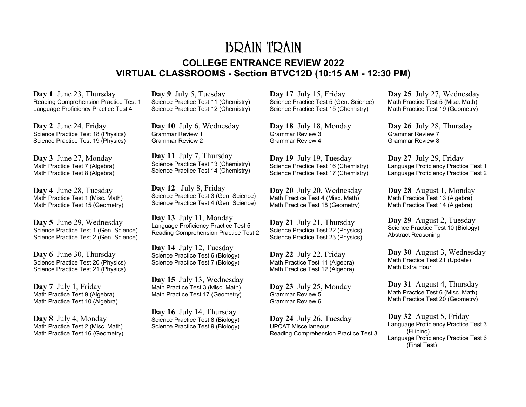### BRAIN TRAIN **COLLEGE ENTRANCE REVIEW 2022 VIRTUAL CLASSROOMS - Section BTVC12D (10:15 AM - 12:30 PM)**

**Day 1** June 23, Thursday Reading Comprehension Practice Test 1 Language Proficiency Practice Test 4

**Day 2** June 24, Friday Science Practice Test 18 (Physics) Science Practice Test 19 (Physics)

**Day 3** June 27, Monday Math Practice Test 7 (Algebra) Math Practice Test 8 (Algebra)

**Day 4** June 28, Tuesday Math Practice Test 1 (Misc. Math) Math Practice Test 15 (Geometry)

**Day 5** June 29, Wednesday Science Practice Test 1 (Gen. Science) Science Practice Test 2 (Gen. Science)

**Day 6** June 30, Thursday Science Practice Test 20 (Physics) Science Practice Test 21 (Physics)

**Day 7** July 1, Friday Math Practice Test 9 (Algebra) Math Practice Test 10 (Algebra)

**Day 8** July 4, Monday Math Practice Test 2 (Misc. Math) Math Practice Test 16 (Geometry)

**Day 9** July 5, Tuesday Science Practice Test 11 (Chemistry) Science Practice Test 12 (Chemistry)

**Day 10** July 6, Wednesday Grammar Review 1 Grammar Review 2

**Day 11** July 7, Thursday Science Practice Test 13 (Chemistry) Science Practice Test 14 (Chemistry)

**Day 12** July 8, Friday Science Practice Test 3 (Gen. Science) Science Practice Test 4 (Gen. Science)

**Day 13** July 11, Monday Language Proficiency Practice Test 5 Reading Comprehension Practice Test 2

**Day 14** July 12, Tuesday Science Practice Test 6 (Biology) Science Practice Test 7 (Biology)

**Day 15** July 13, Wednesday Math Practice Test 3 (Misc. Math) Math Practice Test 17 (Geometry)

**Day 16** July 14, Thursday Science Practice Test 8 (Biology) Science Practice Test 9 (Biology)

**Day 17** July 15, Friday Science Practice Test 5 (Gen. Science) Science Practice Test 15 (Chemistry)

**Day 18** July 18, Monday Grammar Review 3 Grammar Review 4

**Day 19** July 19, Tuesday Science Practice Test 16 (Chemistry) Science Practice Test 17 (Chemistry)

**Day 20** July 20, Wednesday Math Practice Test 4 (Misc. Math) Math Practice Test 18 (Geometry)

**Day 21** July 21, Thursday Science Practice Test 22 (Physics) Science Practice Test 23 (Physics)

**Day 22** July 22, Friday Math Practice Test 11 (Algebra) Math Practice Test 12 (Algebra)

**Day 23** July 25, Monday Grammar Review 5 Grammar Review 6

**Day 24** July 26, Tuesday UPCAT Miscellaneous Reading Comprehension Practice Test 3 **Day 25** July 27, Wednesday Math Practice Test 5 (Misc. Math) Math Practice Test 19 (Geometry)

**Day 26** July 28, Thursday Grammar Review 7 Grammar Review 8

**Day 27** July 29, Friday Language Proficiency Practice Test 1 Language Proficiency Practice Test 2

**Day 28** August 1, Monday Math Practice Test 13 (Algebra) Math Practice Test 14 (Algebra)

**Day 29** August 2, Tuesday Science Practice Test 10 (Biology) Abstract Reasoning

**Day 30** August 3, Wednesday Math Practice Test 21 (Update) Math Extra Hour

**Day 31** August 4, Thursday Math Practice Test 6 (Misc. Math) Math Practice Test 20 (Geometry)

**Day 32** August 5, Friday Language Proficiency Practice Test 3 (Filipino) Language Proficiency Practice Test 6 (Final Test)